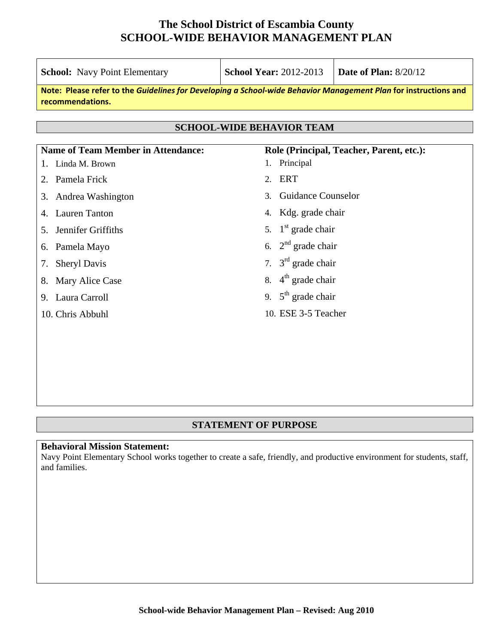| <b>School:</b> Navy Point Elementary                                                                                                | <b>School Year: 2012-2013</b>               | <b>Date of Plan: 8/20/12</b>             |  |  |
|-------------------------------------------------------------------------------------------------------------------------------------|---------------------------------------------|------------------------------------------|--|--|
| Note: Please refer to the Guidelines for Developing a School-wide Behavior Management Plan for instructions and<br>recommendations. |                                             |                                          |  |  |
| <b>SCHOOL-WIDE BEHAVIOR TEAM</b>                                                                                                    |                                             |                                          |  |  |
| <b>Name of Team Member in Attendance:</b>                                                                                           |                                             | Role (Principal, Teacher, Parent, etc.): |  |  |
| 1. Linda M. Brown                                                                                                                   | Principal<br>1.                             |                                          |  |  |
| Pamela Frick<br>2.                                                                                                                  | <b>ERT</b><br>2.                            |                                          |  |  |
| Andrea Washington<br>3.                                                                                                             | <b>Guidance Counselor</b><br>3 <sub>1</sub> |                                          |  |  |
| <b>Lauren Tanton</b><br>4.                                                                                                          | 4. Kdg. grade chair                         |                                          |  |  |
| Jennifer Griffiths<br>5.                                                                                                            | 5. $1st$ grade chair                        |                                          |  |  |
| Pamela Mayo<br>6.                                                                                                                   | 6. $2nd$ grade chair                        |                                          |  |  |
| <b>Sheryl Davis</b><br>7.                                                                                                           | 7. $3rd$ grade chair                        |                                          |  |  |
| Mary Alice Case<br>8.                                                                                                               | 8. $4^{\text{th}}$ grade chair              |                                          |  |  |
| Laura Carroll<br>9.                                                                                                                 | 9. $5th$ grade chair                        |                                          |  |  |
| 10. Chris Abbuhl                                                                                                                    | 10. ESE 3-5 Teacher                         |                                          |  |  |
|                                                                                                                                     |                                             |                                          |  |  |
|                                                                                                                                     |                                             |                                          |  |  |

#### **STATEMENT OF PURPOSE**

#### **Behavioral Mission Statement:**

Navy Point Elementary School works together to create a safe, friendly, and productive environment for students, staff, and families.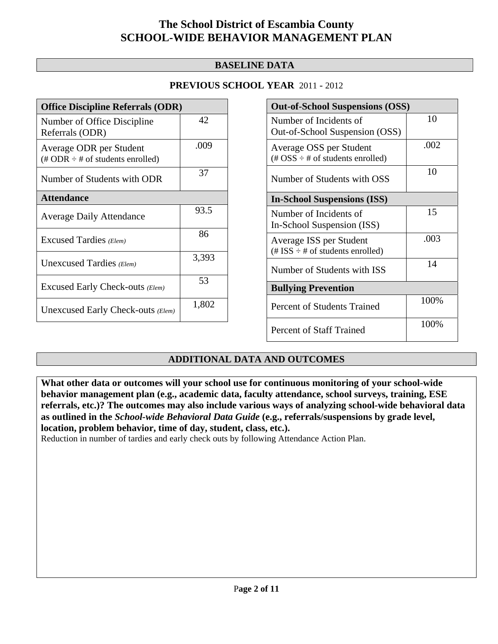#### **BASELINE DATA**

#### **PREVIOUS SCHOOL YEAR** 2011 - 2012

| <b>Office Discipline Referrals (ODR)</b>                                         |       |  |  |
|----------------------------------------------------------------------------------|-------|--|--|
| Number of Office Discipline<br>Referrals (ODR)                                   | 42    |  |  |
| Average ODR per Student<br>$(\text{\# ODR} \div \text{\# of students enrolled})$ | .009  |  |  |
| Number of Students with ODR                                                      | 37    |  |  |
| <b>Attendance</b>                                                                |       |  |  |
| <b>Average Daily Attendance</b>                                                  | 93.5  |  |  |
| Excused Tardies (Elem)                                                           | 86    |  |  |
| Unexcused Tardies (Elem)                                                         | 3,393 |  |  |
| Excused Early Check-outs (Elem)                                                  | 53    |  |  |
| Unexcused Early Check-outs (Elem)                                                | 1,802 |  |  |

| <b>Out-of-School Suspensions (OSS)</b>                           |      |  |  |  |
|------------------------------------------------------------------|------|--|--|--|
| Number of Incidents of<br>Out-of-School Suspension (OSS)         | 10   |  |  |  |
| Average OSS per Student<br>(# $OSS \div #$ of students enrolled) | .002 |  |  |  |
| Number of Students with OSS                                      | 10   |  |  |  |
| <b>In-School Suspensions (ISS)</b>                               |      |  |  |  |
| Number of Incidents of<br>In-School Suspension (ISS)             | 15   |  |  |  |
| Average ISS per Student<br>(# ISS $\div$ # of students enrolled) | .003 |  |  |  |
| Number of Students with ISS                                      | 14   |  |  |  |
| <b>Bullying Prevention</b>                                       |      |  |  |  |
| Percent of Students Trained                                      | 100% |  |  |  |
| <b>Percent of Staff Trained</b>                                  | 100% |  |  |  |

### **ADDITIONAL DATA AND OUTCOMES**

**What other data or outcomes will your school use for continuous monitoring of your school-wide behavior management plan (e.g., academic data, faculty attendance, school surveys, training, ESE referrals, etc.)? The outcomes may also include various ways of analyzing school-wide behavioral data as outlined in the** *School-wide Behavioral Data Guide* **(e.g., referrals/suspensions by grade level, location, problem behavior, time of day, student, class, etc.).**

Reduction in number of tardies and early check outs by following Attendance Action Plan.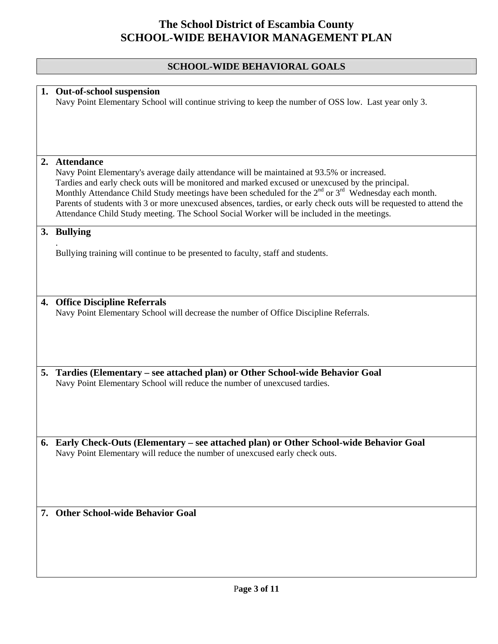### **SCHOOL-WIDE BEHAVIORAL GOALS**

|    | 1. Out-of-school suspension<br>Navy Point Elementary School will continue striving to keep the number of OSS low. Last year only 3.                                                                                                                                                                                                                                                                                                                                                                                                                                      |
|----|--------------------------------------------------------------------------------------------------------------------------------------------------------------------------------------------------------------------------------------------------------------------------------------------------------------------------------------------------------------------------------------------------------------------------------------------------------------------------------------------------------------------------------------------------------------------------|
|    |                                                                                                                                                                                                                                                                                                                                                                                                                                                                                                                                                                          |
| 2. | <b>Attendance</b><br>Navy Point Elementary's average daily attendance will be maintained at 93.5% or increased.<br>Tardies and early check outs will be monitored and marked excused or unexcused by the principal.<br>Monthly Attendance Child Study meetings have been scheduled for the 2 <sup>nd</sup> or 3 <sup>rd</sup> Wednesday each month.<br>Parents of students with 3 or more unexcused absences, tardies, or early check outs will be requested to attend the<br>Attendance Child Study meeting. The School Social Worker will be included in the meetings. |
|    | 3. Bullying                                                                                                                                                                                                                                                                                                                                                                                                                                                                                                                                                              |
|    | Bullying training will continue to be presented to faculty, staff and students.                                                                                                                                                                                                                                                                                                                                                                                                                                                                                          |
|    | 4. Office Discipline Referrals<br>Navy Point Elementary School will decrease the number of Office Discipline Referrals.                                                                                                                                                                                                                                                                                                                                                                                                                                                  |
|    |                                                                                                                                                                                                                                                                                                                                                                                                                                                                                                                                                                          |
| 5. | Tardies (Elementary – see attached plan) or Other School-wide Behavior Goal<br>Navy Point Elementary School will reduce the number of unexcused tardies.                                                                                                                                                                                                                                                                                                                                                                                                                 |
|    |                                                                                                                                                                                                                                                                                                                                                                                                                                                                                                                                                                          |
|    | 6. Early Check-Outs (Elementary – see attached plan) or Other School-wide Behavior Goal<br>Navy Point Elementary will reduce the number of unexcused early check outs.                                                                                                                                                                                                                                                                                                                                                                                                   |
|    | 7. Other School-wide Behavior Goal                                                                                                                                                                                                                                                                                                                                                                                                                                                                                                                                       |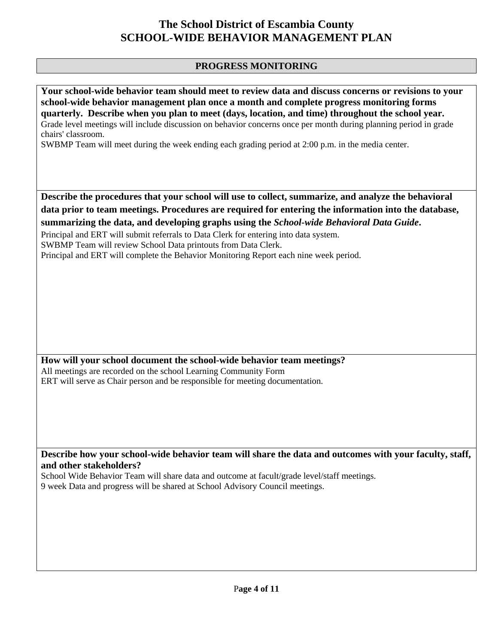#### **PROGRESS MONITORING**

**Your school-wide behavior team should meet to review data and discuss concerns or revisions to your school-wide behavior management plan once a month and complete progress monitoring forms quarterly. Describe when you plan to meet (days, location, and time) throughout the school year.**  Grade level meetings will include discussion on behavior concerns once per month during planning period in grade chairs' classroom. SWBMP Team will meet during the week ending each grading period at 2:00 p.m. in the media center. **Describe the procedures that your school will use to collect, summarize, and analyze the behavioral data prior to team meetings. Procedures are required for entering the information into the database, summarizing the data, and developing graphs using the** *School-wide Behavioral Data Guide***.**  Principal and ERT will submit referrals to Data Clerk for entering into data system. SWBMP Team will review School Data printouts from Data Clerk. Principal and ERT will complete the Behavior Monitoring Report each nine week period. **How will your school document the school-wide behavior team meetings?** All meetings are recorded on the school Learning Community Form ERT will serve as Chair person and be responsible for meeting documentation. **Describe how your school-wide behavior team will share the data and outcomes with your faculty, staff, and other stakeholders?**  School Wide Behavior Team will share data and outcome at facult/grade level/staff meetings. 9 week Data and progress will be shared at School Advisory Council meetings.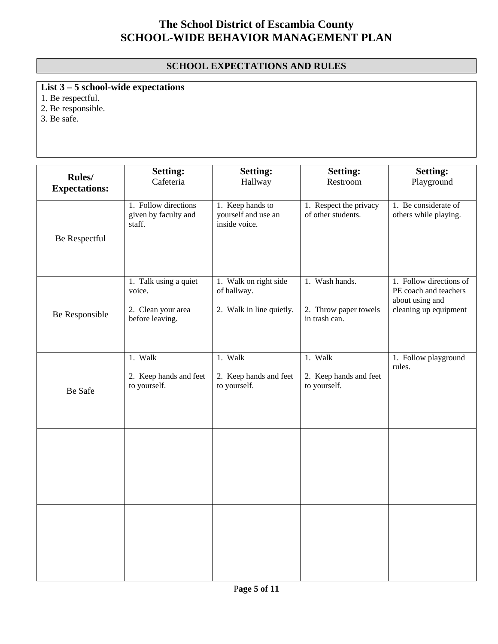### **SCHOOL EXPECTATIONS AND RULES**

**List 3 – 5 school-wide expectations**

1. Be respectful.

2. Be responsible.

 $3. Be$  safe.

|                                | <b>Setting:</b>                                                          | <b>Setting:</b>                                                  | <b>Setting:</b>                                          | <b>Setting:</b>                                                                              |
|--------------------------------|--------------------------------------------------------------------------|------------------------------------------------------------------|----------------------------------------------------------|----------------------------------------------------------------------------------------------|
| Rules/<br><b>Expectations:</b> | Cafeteria                                                                | Hallway                                                          | Restroom                                                 | Playground                                                                                   |
| Be Respectful                  | 1. Follow directions<br>given by faculty and<br>staff.                   | 1. Keep hands to<br>yourself and use an<br>inside voice.         | 1. Respect the privacy<br>of other students.             | 1. Be considerate of<br>others while playing.                                                |
| Be Responsible                 | 1. Talk using a quiet<br>voice.<br>2. Clean your area<br>before leaving. | 1. Walk on right side<br>of hallway.<br>2. Walk in line quietly. | 1. Wash hands.<br>2. Throw paper towels<br>in trash can. | 1. Follow directions of<br>PE coach and teachers<br>about using and<br>cleaning up equipment |
| Be Safe                        | 1. Walk<br>2. Keep hands and feet<br>to yourself.                        | 1. Walk<br>2. Keep hands and feet<br>to yourself.                | 1. Walk<br>2. Keep hands and feet<br>to yourself.        | 1. Follow playground<br>rules.                                                               |
|                                |                                                                          |                                                                  |                                                          |                                                                                              |
|                                |                                                                          |                                                                  |                                                          |                                                                                              |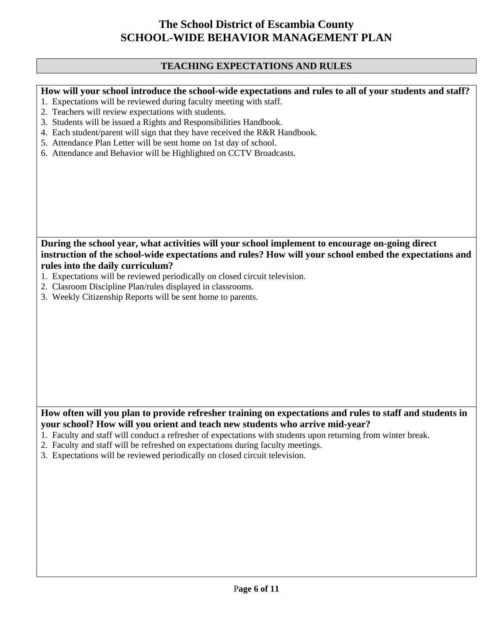#### **TEACHING EXPECTATIONS AND RULES**

**How will your school introduce the school-wide expectations and rules to all of your students and staff?** 

- 1. Expectations will be reviewed during faculty meeting with staff.
- 2. Teachers will review expectations with students.
- 3. Students will be issued a Rights and Responsibilities Handbook.
- 4. Each student/parent will sign that they have received the R&R Handbook.
- 5. Attendance Plan Letter will be sent home on 1st day of school.
- 6. Attendance and Behavior will be Highlighted on CCTV Broadcasts.

**During the school year, what activities will your school implement to encourage on-going direct instruction of the school-wide expectations and rules? How will your school embed the expectations and rules into the daily curriculum?** 

- 1. Expectations will be reviewed periodically on closed circuit television.
- 2. Clasroom Discipline Plan/rules displayed in classrooms.
- 3. Weekly Citizenship Reports will be sent home to parents.

#### **How often will you plan to provide refresher training on expectations and rules to staff and students in your school? How will you orient and teach new students who arrive mid-year?**

- 1. Faculty and staff will conduct a refresher of expectations with students upon returning from winter break.
- 2. Faculty and staff will be refreshed on expectations during faculty meetings.
- 3. Expectations will be reviewed periodically on closed circuit television.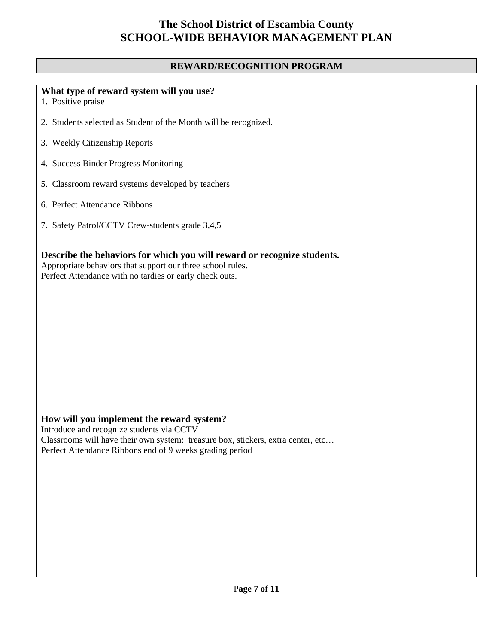#### **REWARD/RECOGNITION PROGRAM**

### **What type of reward system will you use?**

- 1. Positive praise
- 2. Students selected as Student of the Month will be recognized.
- 3. Weekly Citizenship Reports
- 4. Success Binder Progress Monitoring
- 5. Classroom reward systems developed by teachers
- 6. Perfect Attendance Ribbons
- 7. Safety Patrol/CCTV Crew-students grade 3,4,5

**Describe the behaviors for which you will reward or recognize students.** 

Appropriate behaviors that support our three school rules. Perfect Attendance with no tardies or early check outs.

## **How will you implement the reward system?**

Introduce and recognize students via CCTV Classrooms will have their own system: treasure box, stickers, extra center, etc… Perfect Attendance Ribbons end of 9 weeks grading period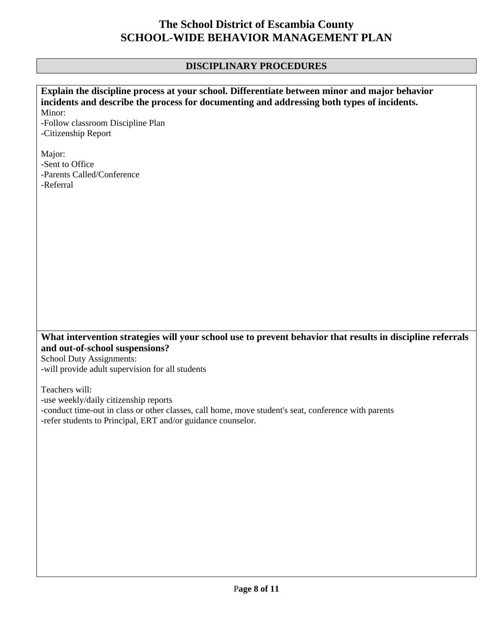### **DISCIPLINARY PROCEDURES**

| Explain the discipline process at your school. Differentiate between minor and major behavior                                                                                                                                       |  |  |
|-------------------------------------------------------------------------------------------------------------------------------------------------------------------------------------------------------------------------------------|--|--|
| incidents and describe the process for documenting and addressing both types of incidents.                                                                                                                                          |  |  |
| Minor:                                                                                                                                                                                                                              |  |  |
| -Follow classroom Discipline Plan<br>-Citizenship Report                                                                                                                                                                            |  |  |
|                                                                                                                                                                                                                                     |  |  |
| Major:                                                                                                                                                                                                                              |  |  |
| -Sent to Office                                                                                                                                                                                                                     |  |  |
| -Parents Called/Conference                                                                                                                                                                                                          |  |  |
| -Referral                                                                                                                                                                                                                           |  |  |
|                                                                                                                                                                                                                                     |  |  |
|                                                                                                                                                                                                                                     |  |  |
|                                                                                                                                                                                                                                     |  |  |
|                                                                                                                                                                                                                                     |  |  |
|                                                                                                                                                                                                                                     |  |  |
|                                                                                                                                                                                                                                     |  |  |
|                                                                                                                                                                                                                                     |  |  |
|                                                                                                                                                                                                                                     |  |  |
|                                                                                                                                                                                                                                     |  |  |
|                                                                                                                                                                                                                                     |  |  |
|                                                                                                                                                                                                                                     |  |  |
|                                                                                                                                                                                                                                     |  |  |
|                                                                                                                                                                                                                                     |  |  |
| What intervention strategies will your school use to prevent behavior that results in discipline referrals<br>and out-of-school suspensions?<br><b>School Duty Assignments:</b><br>-will provide adult supervision for all students |  |  |
|                                                                                                                                                                                                                                     |  |  |
| Teachers will:                                                                                                                                                                                                                      |  |  |
| -use weekly/daily citizenship reports                                                                                                                                                                                               |  |  |
| -conduct time-out in class or other classes, call home, move student's seat, conference with parents                                                                                                                                |  |  |
| -refer students to Principal, ERT and/or guidance counselor.                                                                                                                                                                        |  |  |
|                                                                                                                                                                                                                                     |  |  |
|                                                                                                                                                                                                                                     |  |  |
|                                                                                                                                                                                                                                     |  |  |
|                                                                                                                                                                                                                                     |  |  |
|                                                                                                                                                                                                                                     |  |  |
|                                                                                                                                                                                                                                     |  |  |
|                                                                                                                                                                                                                                     |  |  |
|                                                                                                                                                                                                                                     |  |  |
|                                                                                                                                                                                                                                     |  |  |
|                                                                                                                                                                                                                                     |  |  |
|                                                                                                                                                                                                                                     |  |  |
|                                                                                                                                                                                                                                     |  |  |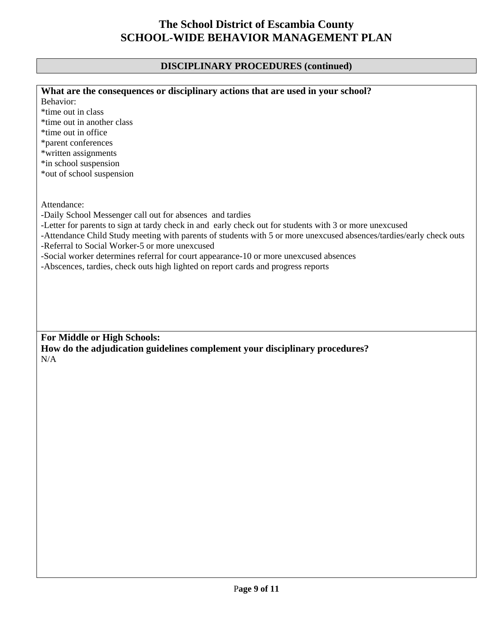### **DISCIPLINARY PROCEDURES (continued)**

| What are the consequences or disciplinary actions that are used in your school?<br>Behavior:<br>*time out in class<br>*time out in another class<br>*time out in office<br>*parent conferences<br>*written assignments<br>*in school suspension<br>*out of school suspension |
|------------------------------------------------------------------------------------------------------------------------------------------------------------------------------------------------------------------------------------------------------------------------------|
|                                                                                                                                                                                                                                                                              |
|                                                                                                                                                                                                                                                                              |
|                                                                                                                                                                                                                                                                              |
|                                                                                                                                                                                                                                                                              |
|                                                                                                                                                                                                                                                                              |
|                                                                                                                                                                                                                                                                              |
|                                                                                                                                                                                                                                                                              |
|                                                                                                                                                                                                                                                                              |
|                                                                                                                                                                                                                                                                              |
|                                                                                                                                                                                                                                                                              |
|                                                                                                                                                                                                                                                                              |
| Attendance:                                                                                                                                                                                                                                                                  |
| -Daily School Messenger call out for absences and tardies                                                                                                                                                                                                                    |
| -Letter for parents to sign at tardy check in and early check out for students with 3 or more unexcused                                                                                                                                                                      |
| -Attendance Child Study meeting with parents of students with 5 or more unexcused absences/tardies/early check outs                                                                                                                                                          |
| -Referral to Social Worker-5 or more unexcused                                                                                                                                                                                                                               |
| -Social worker determines referral for court appearance-10 or more unexcused absences                                                                                                                                                                                        |
| -Abscences, tardies, check outs high lighted on report cards and progress reports                                                                                                                                                                                            |
|                                                                                                                                                                                                                                                                              |
|                                                                                                                                                                                                                                                                              |
|                                                                                                                                                                                                                                                                              |
|                                                                                                                                                                                                                                                                              |
|                                                                                                                                                                                                                                                                              |
|                                                                                                                                                                                                                                                                              |
| For Middle or High Schools:                                                                                                                                                                                                                                                  |
| How do the adjudication guidelines complement your disciplinary procedures?                                                                                                                                                                                                  |
| N/A                                                                                                                                                                                                                                                                          |
|                                                                                                                                                                                                                                                                              |
|                                                                                                                                                                                                                                                                              |
|                                                                                                                                                                                                                                                                              |
|                                                                                                                                                                                                                                                                              |
|                                                                                                                                                                                                                                                                              |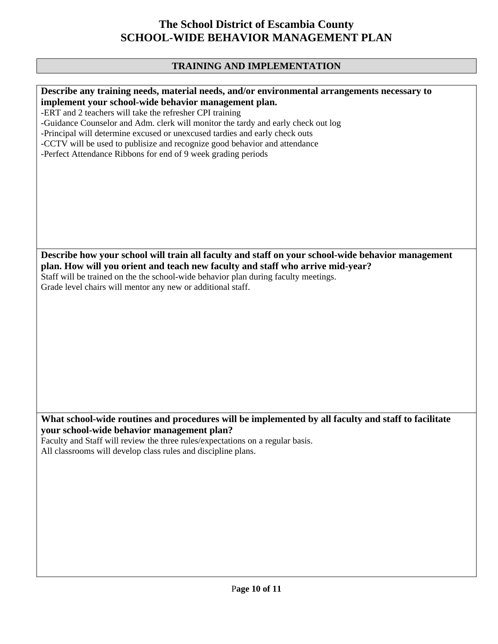### **TRAINING AND IMPLEMENTATION**

| Describe any training needs, material needs, and/or environmental arrangements necessary to         |
|-----------------------------------------------------------------------------------------------------|
| implement your school-wide behavior management plan.                                                |
| -ERT and 2 teachers will take the refresher CPI training                                            |
| -Guidance Counselor and Adm. clerk will monitor the tardy and early check out log                   |
| -Principal will determine excused or unexcused tardies and early check outs                         |
| -CCTV will be used to publisize and recognize good behavior and attendance                          |
| -Perfect Attendance Ribbons for end of 9 week grading periods                                       |
|                                                                                                     |
|                                                                                                     |
|                                                                                                     |
|                                                                                                     |
|                                                                                                     |
|                                                                                                     |
|                                                                                                     |
|                                                                                                     |
|                                                                                                     |
|                                                                                                     |
| Describe how your school will train all faculty and staff on your school-wide behavior management   |
| plan. How will you orient and teach new faculty and staff who arrive mid-year?                      |
| Staff will be trained on the the school-wide behavior plan during faculty meetings.                 |
| Grade level chairs will mentor any new or additional staff.                                         |
|                                                                                                     |
|                                                                                                     |
|                                                                                                     |
|                                                                                                     |
|                                                                                                     |
|                                                                                                     |
|                                                                                                     |
|                                                                                                     |
|                                                                                                     |
|                                                                                                     |
|                                                                                                     |
|                                                                                                     |
| What school-wide routines and procedures will be implemented by all faculty and staff to facilitate |
|                                                                                                     |
| your school-wide behavior management plan?                                                          |
| Faculty and Staff will review the three rules/expectations on a regular basis.                      |
| All classrooms will develop class rules and discipline plans.                                       |
|                                                                                                     |
|                                                                                                     |
|                                                                                                     |
|                                                                                                     |
|                                                                                                     |
|                                                                                                     |
|                                                                                                     |
|                                                                                                     |
|                                                                                                     |
|                                                                                                     |
|                                                                                                     |
|                                                                                                     |
|                                                                                                     |